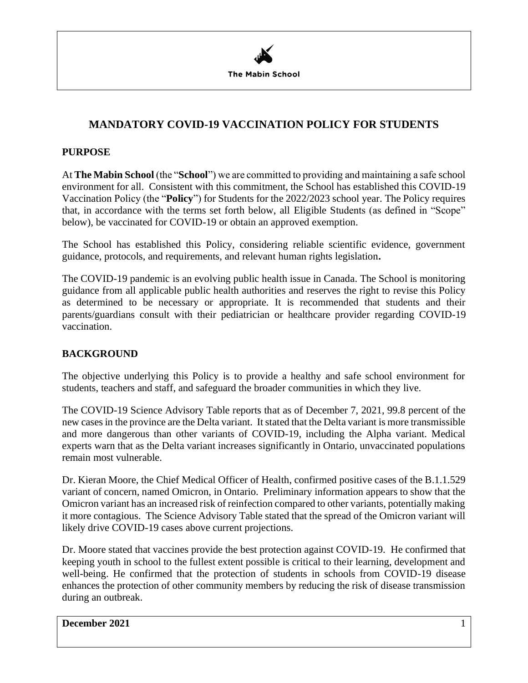

# **MANDATORY COVID-19 VACCINATION POLICY FOR STUDENTS**

#### **PURPOSE**

At **The Mabin School** (the "**School**") we are committed to providing and maintaining a safe school environment for all. Consistent with this commitment, the School has established this COVID-19 Vaccination Policy (the "**Policy**") for Students for the 2022/2023 school year. The Policy requires that, in accordance with the terms set forth below, all Eligible Students (as defined in "Scope" below), be vaccinated for COVID-19 or obtain an approved exemption.

The School has established this Policy, considering reliable scientific evidence, government guidance, protocols, and requirements, and relevant human rights legislation**.** 

The COVID-19 pandemic is an evolving public health issue in Canada. The School is monitoring guidance from all applicable public health authorities and reserves the right to revise this Policy as determined to be necessary or appropriate. It is recommended that students and their parents/guardians consult with their pediatrician or healthcare provider regarding COVID-19 vaccination.

## **BACKGROUND**

The objective underlying this Policy is to provide a healthy and safe school environment for students, teachers and staff, and safeguard the broader communities in which they live.

The COVID-19 Science Advisory Table reports that as of December 7, 2021, 99.8 percent of the new cases in the province are the Delta variant. It stated that the Delta variant is more transmissible and more dangerous than other variants of COVID-19, including the Alpha variant. Medical experts warn that as the Delta variant increases significantly in Ontario, unvaccinated populations remain most vulnerable.

Dr. Kieran Moore, the Chief Medical Officer of Health, confirmed positive cases of the B.1.1.529 variant of concern, named Omicron, in Ontario. Preliminary information appears to show that the Omicron variant has an increased risk of reinfection compared to other variants, potentially making it more contagious. The Science Advisory Table stated that the spread of the Omicron variant will likely drive COVID-19 cases above current projections.

Dr. Moore stated that vaccines provide the best protection against COVID-19. He confirmed that keeping youth in school to the fullest extent possible is critical to their learning, development and well-being. He confirmed that the protection of students in schools from COVID-19 disease enhances the protection of other community members by reducing the risk of disease transmission during an outbreak.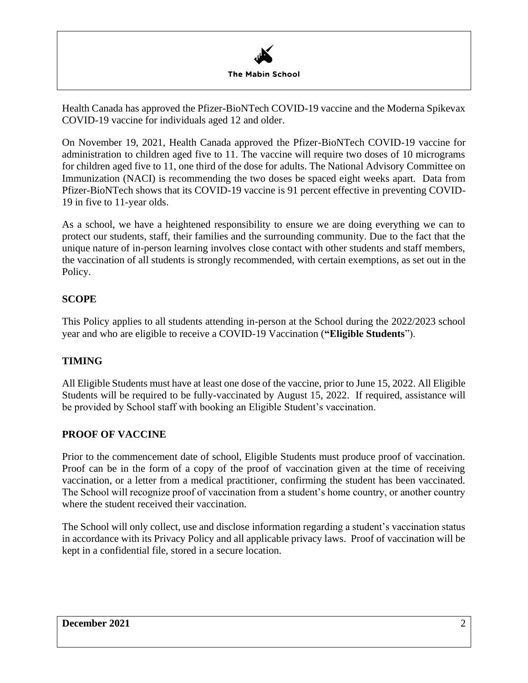

Health Canada has approved the Pfizer-BioNTech COVID-19 vaccine and the Moderna Spikevax COVID-19 vaccine for individuals aged 12 and older.

On November 19, 2021, Health Canada approved the Pfizer-BioNTech COVID-19 vaccine for administration to children aged five to 11. The vaccine will require two doses of 10 micrograms for children aged five to 11, one third of the dose for adults. The National Advisory Committee on Immunization (NACI) is recommending the two doses be spaced eight weeks apart. Data from Pfizer-BioNTech shows that its COVID-19 vaccine is 91 percent effective in preventing COVID-19 in five to 11-year olds.

As a school, we have a heightened responsibility to ensure we are doing everything we can to protect our students, staff, their families and the surrounding community. Due to the fact that the unique nature of in-person learning involves close contact with other students and staff members, the vaccination of all students is strongly recommended, with certain exemptions, as set out in the Policy.

## **SCOPE**

This Policy applies to all students attending in-person at the School during the 2022/2023 school year and who are eligible to receive a COVID-19 Vaccination (**"Eligible Students**").

## **TIMING**

All Eligible Students must have at least one dose of the vaccine, prior to June 15, 2022. All Eligible Students will be required to be fully-vaccinated by August 15, 2022. If required, assistance will be provided by School staff with booking an Eligible Student's vaccination.

## **PROOF OF VACCINE**

Prior to the commencement date of school, Eligible Students must produce proof of vaccination. Proof can be in the form of a copy of the proof of vaccination given at the time of receiving vaccination, or a letter from a medical practitioner, confirming the student has been vaccinated. The School will recognize proof of vaccination from a student's home country, or another country where the student received their vaccination.

The School will only collect, use and disclose information regarding a student's vaccination status in accordance with its Privacy Policy and all applicable privacy laws. Proof of vaccination will be kept in a confidential file, stored in a secure location.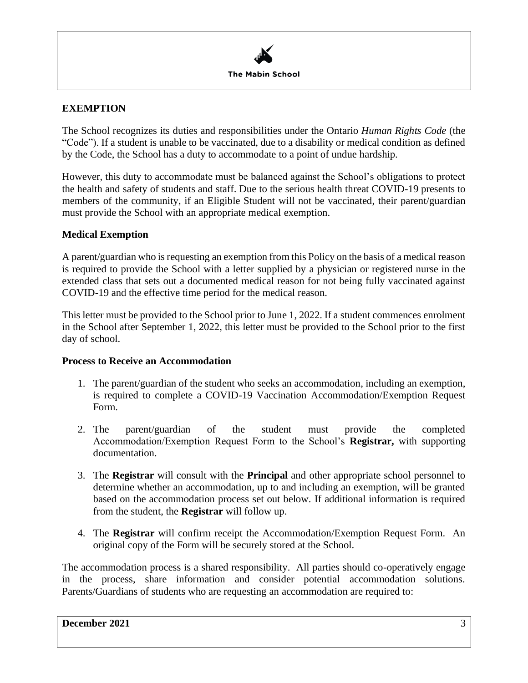

#### **EXEMPTION**

The School recognizes its duties and responsibilities under the Ontario *Human Rights Code* (the "Code"). If a student is unable to be vaccinated, due to a disability or medical condition as defined by the Code, the School has a duty to accommodate to a point of undue hardship.

However, this duty to accommodate must be balanced against the School's obligations to protect the health and safety of students and staff. Due to the serious health threat COVID-19 presents to members of the community, if an Eligible Student will not be vaccinated, their parent/guardian must provide the School with an appropriate medical exemption.

#### **Medical Exemption**

A parent/guardian who is requesting an exemption from this Policy on the basis of a medical reason is required to provide the School with a letter supplied by a physician or registered nurse in the extended class that sets out a documented medical reason for not being fully vaccinated against COVID-19 and the effective time period for the medical reason.

This letter must be provided to the School prior to June 1, 2022. If a student commences enrolment in the School after September 1, 2022, this letter must be provided to the School prior to the first day of school.

#### **Process to Receive an Accommodation**

- 1. The parent/guardian of the student who seeks an accommodation, including an exemption, is required to complete a COVID-19 Vaccination Accommodation/Exemption Request Form.
- 2. The parent/guardian of the student must provide the completed Accommodation/Exemption Request Form to the School's **Registrar,** with supporting documentation.
- 3. The **Registrar** will consult with the **Principal** and other appropriate school personnel to determine whether an accommodation, up to and including an exemption, will be granted based on the accommodation process set out below. If additional information is required from the student, the **Registrar** will follow up.
- 4. The **Registrar** will confirm receipt the Accommodation/Exemption Request Form. An original copy of the Form will be securely stored at the School.

The accommodation process is a shared responsibility. All parties should co-operatively engage in the process, share information and consider potential accommodation solutions. Parents/Guardians of students who are requesting an accommodation are required to: